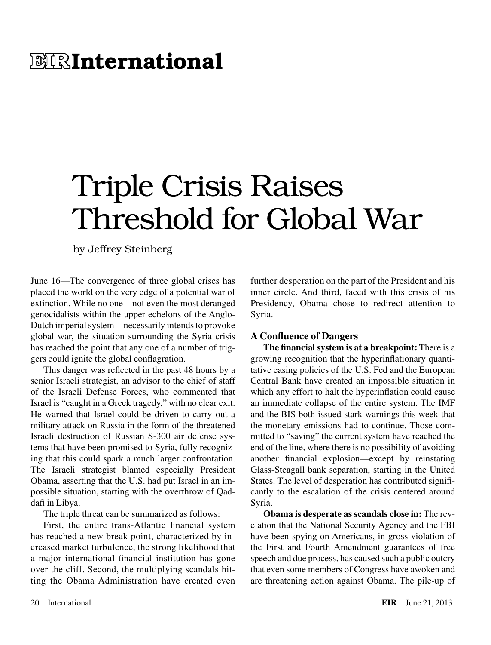## **E IRInternational**

## Triple Crisis Raises Threshold for Global War

by Jeffrey Steinberg

June 16—The convergence of three global crises has placed the world on the very edge of a potential war of extinction. While no one—not even the most deranged genocidalists within the upper echelons of the Anglo-Dutch imperial system—necessarily intends to provoke global war, the situation surrounding the Syria crisis has reached the point that any one of a number of triggers could ignite the global conflagration.

This danger was reflected in the past 48 hours by a senior Israeli strategist, an advisor to the chief of staff of the Israeli Defense Forces, who commented that Israel is "caught in a Greek tragedy," with no clear exit. He warned that Israel could be driven to carry out a military attack on Russia in the form of the threatened Israeli destruction of Russian S-300 air defense systems that have been promised to Syria, fully recognizing that this could spark a much larger confrontation. The Israeli strategist blamed especially President Obama, asserting that the U.S. had put Israel in an impossible situation, starting with the overthrow of Qaddafi in Libya.

The triple threat can be summarized as follows:

First, the entire trans-Atlantic financial system has reached a new break point, characterized by increased market turbulence, the strong likelihood that a major international financial institution has gone over the cliff. Second, the multiplying scandals hitting the Obama Administration have created even further desperation on the part of the President and his inner circle. And third, faced with this crisis of his Presidency, Obama chose to redirect attention to Syria.

## **A Confluence of Dangers**

**The financial system is at a breakpoint:** There is a growing recognition that the hyperinflationary quantitative easing policies of the U.S. Fed and the European Central Bank have created an impossible situation in which any effort to halt the hyperinflation could cause an immediate collapse of the entire system. The IMF and the BIS both issued stark warnings this week that the monetary emissions had to continue. Those committed to "saving" the current system have reached the end of the line, where there is no possibility of avoiding another financial explosion—except by reinstating Glass-Steagall bank separation, starting in the United States. The level of desperation has contributed significantly to the escalation of the crisis centered around Syria.

**Obama is desperate as scandals close in:** The revelation that the National Security Agency and the FBI have been spying on Americans, in gross violation of the First and Fourth Amendment guarantees of free speech and due process, has caused such a public outcry that even some members of Congress have awoken and are threatening action against Obama. The pile-up of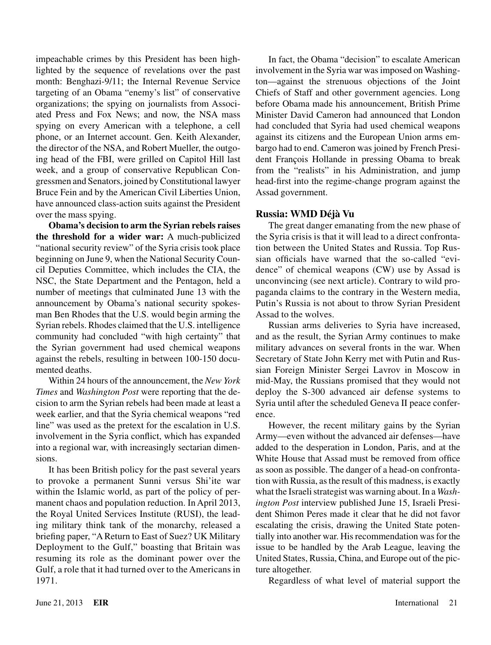impeachable crimes by this President has been highlighted by the sequence of revelations over the past month: Benghazi-9/11; the Internal Revenue Service targeting of an Obama "enemy's list" of conservative organizations; the spying on journalists from Associated Press and Fox News; and now, the NSA mass spying on every American with a telephone, a cell phone, or an Internet account. Gen. Keith Alexander, the director of the NSA, and Robert Mueller, the outgoing head of the FBI, were grilled on Capitol Hill last week, and a group of conservative Republican Congressmen and Senators, joined by Constitutional lawyer Bruce Fein and by the American Civil Liberties Union, have announced class-action suits against the President over the mass spying.

**Obama's decision to arm the Syrian rebels raises the threshold for a wider war:** A much-publicized "national security review" of the Syria crisis took place beginning on June 9, when the National Security Council Deputies Committee, which includes the CIA, the NSC, the State Department and the Pentagon, held a number of meetings that culminated June 13 with the announcement by Obama's national security spokesman Ben Rhodes that the U.S. would begin arming the Syrian rebels. Rhodes claimed that the U.S. intelligence community had concluded "with high certainty" that the Syrian government had used chemical weapons against the rebels, resulting in between 100-150 documented deaths.

Within 24 hours of the announcement, the *New York Times* and *Washington Post* were reporting that the decision to arm the Syrian rebels had been made at least a week earlier, and that the Syria chemical weapons "red line" was used as the pretext for the escalation in U.S. involvement in the Syria conflict, which has expanded into a regional war, with increasingly sectarian dimensions.

It has been British policy for the past several years to provoke a permanent Sunni versus Shi'ite war within the Islamic world, as part of the policy of permanent chaos and population reduction. In April 2013, the Royal United Services Institute (RUSI), the leading military think tank of the monarchy, released a briefing paper, "A Return to East of Suez? UK Military Deployment to the Gulf," boasting that Britain was resuming its role as the dominant power over the Gulf, a role that it had turned over to the Americans in 1971.

In fact, the Obama "decision" to escalate American involvement in the Syria war was imposed on Washington—against the strenuous objections of the Joint Chiefs of Staff and other government agencies. Long before Obama made his announcement, British Prime Minister David Cameron had announced that London had concluded that Syria had used chemical weapons against its citizens and the European Union arms embargo had to end. Cameron was joined by French President François Hollande in pressing Obama to break from the "realists" in his Administration, and jump head-first into the regime-change program against the Assad government.

## **Russia: WMD Déjà Vu**

The great danger emanating from the new phase of the Syria crisis is that it will lead to a direct confrontation between the United States and Russia. Top Russian officials have warned that the so-called "evidence" of chemical weapons (CW) use by Assad is unconvincing (see next article). Contrary to wild propaganda claims to the contrary in the Western media, Putin's Russia is not about to throw Syrian President Assad to the wolves.

Russian arms deliveries to Syria have increased, and as the result, the Syrian Army continues to make military advances on several fronts in the war. When Secretary of State John Kerry met with Putin and Russian Foreign Minister Sergei Lavrov in Moscow in mid-May, the Russians promised that they would not deploy the S-300 advanced air defense systems to Syria until after the scheduled Geneva II peace conference.

However, the recent military gains by the Syrian Army—even without the advanced air defenses—have added to the desperation in London, Paris, and at the White House that Assad must be removed from office as soon as possible. The danger of a head-on confrontation with Russia, as the result of this madness, is exactly what the Israeli strategist was warning about. In a *Washington Post* interview published June 15, Israeli President Shimon Peres made it clear that he did not favor escalating the crisis, drawing the United State potentially into another war. His recommendation was for the issue to be handled by the Arab League, leaving the United States, Russia, China, and Europe out of the picture altogether.

Regardless of what level of material support the